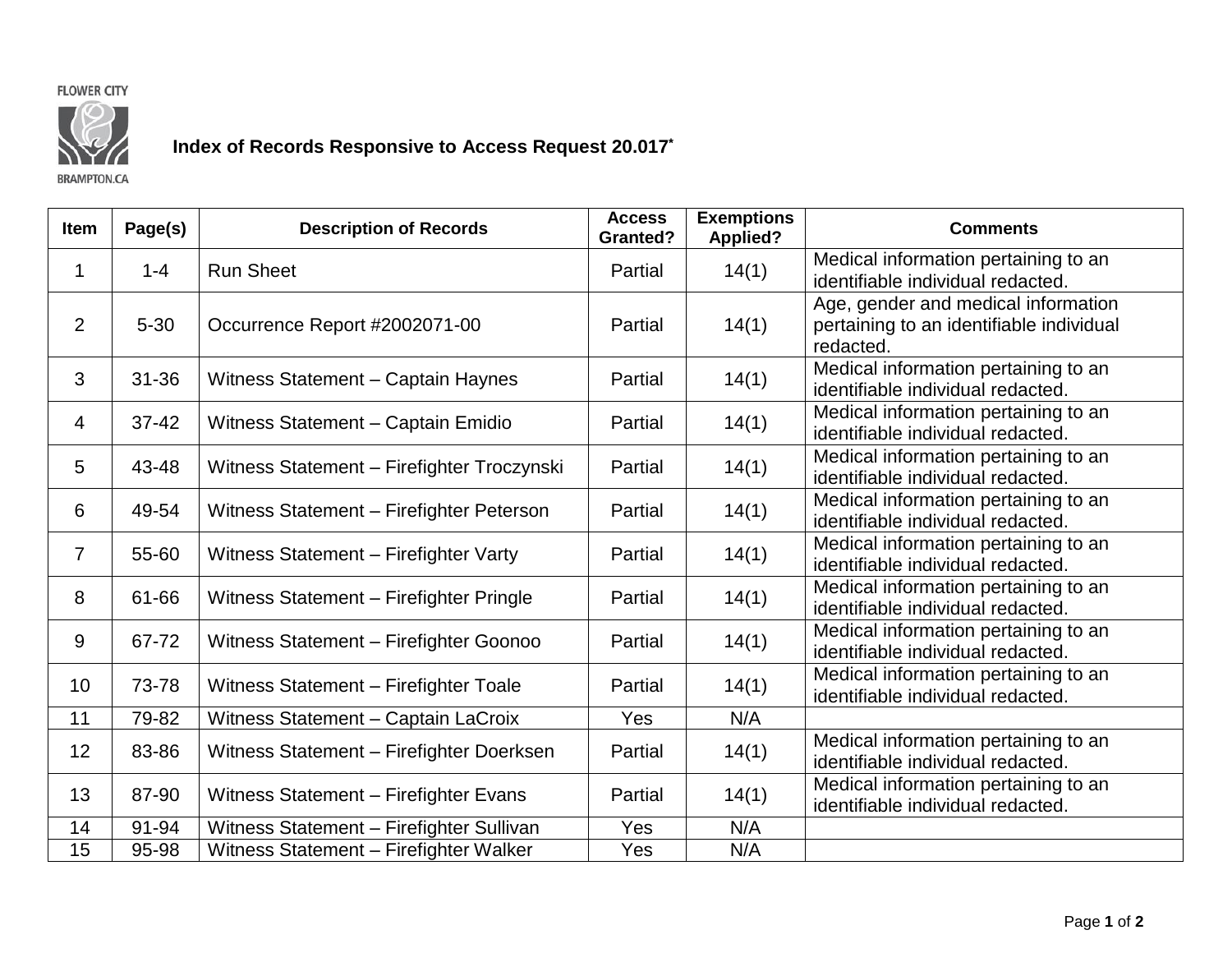



## **Index of Records Responsive to Access Request 20.017\***

**BRAMPTON.CA** 

| <b>Item</b>    | Page(s)   | <b>Description of Records</b>              | <b>Access</b><br><b>Granted?</b> | <b>Exemptions</b><br><b>Applied?</b> | <b>Comments</b>                                                                              |
|----------------|-----------|--------------------------------------------|----------------------------------|--------------------------------------|----------------------------------------------------------------------------------------------|
| 1              | $1 - 4$   | <b>Run Sheet</b>                           | Partial                          | 14(1)                                | Medical information pertaining to an<br>identifiable individual redacted.                    |
| 2              | $5 - 30$  | Occurrence Report #2002071-00              | Partial                          | 14(1)                                | Age, gender and medical information<br>pertaining to an identifiable individual<br>redacted. |
| 3              | $31 - 36$ | Witness Statement - Captain Haynes         | Partial                          | 14(1)                                | Medical information pertaining to an<br>identifiable individual redacted.                    |
| 4              | 37-42     | Witness Statement - Captain Emidio         | Partial                          | 14(1)                                | Medical information pertaining to an<br>identifiable individual redacted.                    |
| 5              | 43-48     | Witness Statement - Firefighter Troczynski | Partial                          | 14(1)                                | Medical information pertaining to an<br>identifiable individual redacted.                    |
| 6              | 49-54     | Witness Statement - Firefighter Peterson   | Partial                          | 14(1)                                | Medical information pertaining to an<br>identifiable individual redacted.                    |
| $\overline{7}$ | 55-60     | Witness Statement - Firefighter Varty      | Partial                          | 14(1)                                | Medical information pertaining to an<br>identifiable individual redacted.                    |
| 8              | 61-66     | Witness Statement - Firefighter Pringle    | Partial                          | 14(1)                                | Medical information pertaining to an<br>identifiable individual redacted.                    |
| 9              | 67-72     | Witness Statement - Firefighter Goonoo     | Partial                          | 14(1)                                | Medical information pertaining to an<br>identifiable individual redacted.                    |
| 10             | 73-78     | Witness Statement - Firefighter Toale      | Partial                          | 14(1)                                | Medical information pertaining to an<br>identifiable individual redacted.                    |
| 11             | 79-82     | Witness Statement - Captain LaCroix        | Yes                              | N/A                                  |                                                                                              |
| 12             | 83-86     | Witness Statement - Firefighter Doerksen   | Partial                          | 14(1)                                | Medical information pertaining to an<br>identifiable individual redacted.                    |
| 13             | 87-90     | Witness Statement - Firefighter Evans      | Partial                          | 14(1)                                | Medical information pertaining to an<br>identifiable individual redacted.                    |
| 14             | $91 - 94$ | Witness Statement - Firefighter Sullivan   | Yes                              | N/A                                  |                                                                                              |
| 15             | 95-98     | Witness Statement - Firefighter Walker     | Yes                              | N/A                                  |                                                                                              |